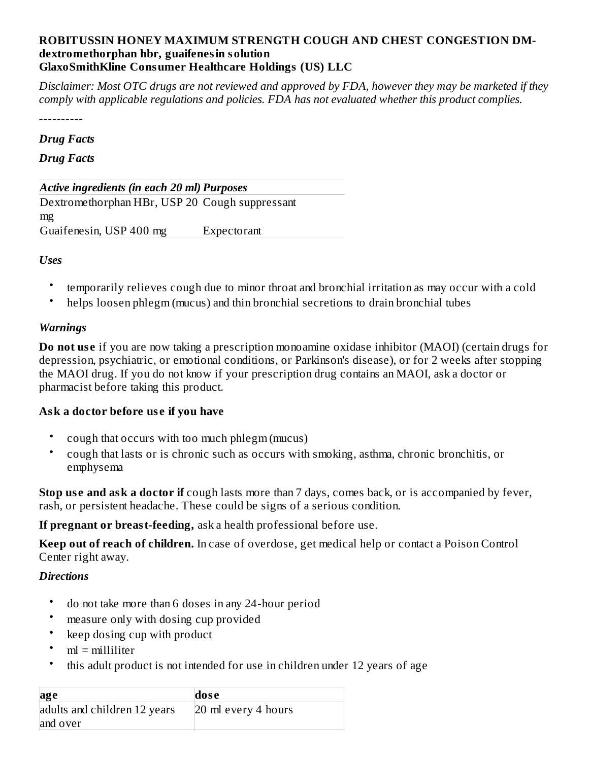# **ROBITUSSIN HONEY MAXIMUM STRENGTH COUGH AND CHEST CONGESTION DMdextromethorphan hbr, guaifenesin solution GlaxoSmithKline Consumer Healthcare Holdings (US) LLC**

Disclaimer: Most OTC drugs are not reviewed and approved by FDA, however they may be marketed if they *comply with applicable regulations and policies. FDA has not evaluated whether this product complies.*

----------

## *Drug Facts*

# *Drug Facts*

*Active ingredients (in each 20 ml) Purposes* Dextromethorphan HBr, USP 20 Cough suppressant mg Guaifenesin, USP 400 mg Expectorant

*Uses*

- temporarily relieves cough due to minor throat and bronchial irritation as may occur with a cold
- helps loosen phlegm (mucus) and thin bronchial secretions to drain bronchial tubes

## *Warnings*

**Do not us e** if you are now taking a prescription monoamine oxidase inhibitor (MAOI) (certain drugs for depression, psychiatric, or emotional conditions, or Parkinson's disease), or for 2 weeks after stopping the MAOI drug. If you do not know if your prescription drug contains an MAOI, ask a doctor or pharmacist before taking this product.

# **Ask a doctor before us e if you have**

- cough that occurs with too much phlegm (mucus)
- cough that lasts or is chronic such as occurs with smoking, asthma, chronic bronchitis, or emphysema

**Stop us e and ask a doctor if** cough lasts more than 7 days, comes back, or is accompanied by fever, rash, or persistent headache. These could be signs of a serious condition.

**If pregnant or breast-feeding,** ask a health professional before use.

**Keep out of reach of children.** In case of overdose, get medical help or contact a Poison Control Center right away.

# *Directions*

- do not take more than 6 doses in any 24-hour period
- measure only with dosing cup provided
- keep dosing cup with product
- ml = milliliter
- this adult product is not intended for use in children under 12 years of age

| age                          | dose                |
|------------------------------|---------------------|
| adults and children 12 years | 20 ml every 4 hours |
| and over                     |                     |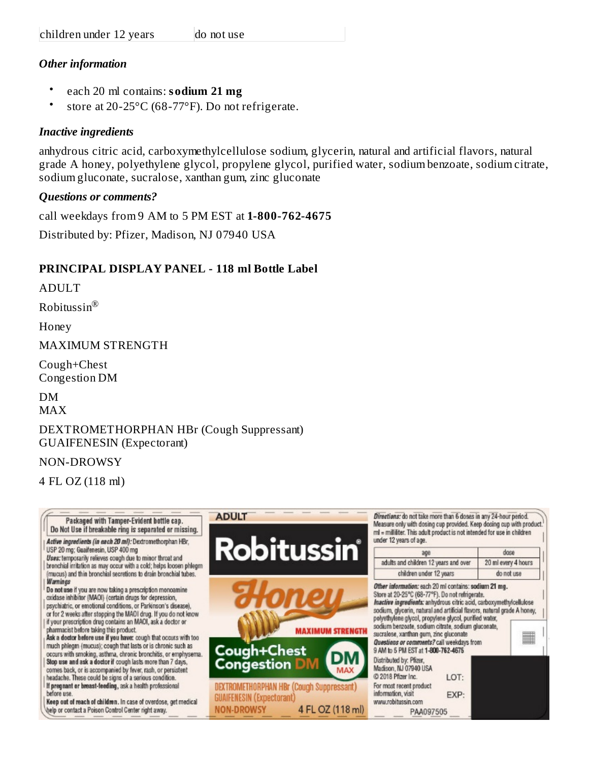# *Other information*

- each 20 ml contains: **sodium 21 mg**
- store at 20-25°C (68-77°F). Do not refrigerate.

# *Inactive ingredients*

anhydrous citric acid, carboxymethylcellulose sodium, glycerin, natural and artificial flavors, natural grade A honey, polyethylene glycol, propylene glycol, purified water, sodium benzoate, sodium citrate, sodium gluconate, sucralose, xanthan gum, zinc gluconate

# *Questions or comments?*

call weekdays from 9 AM to 5 PM EST at **1-800-762-4675** Distributed by: Pfizer, Madison, NJ 07940 USA

# **PRINCIPAL DISPLAY PANEL - 118 ml Bottle Label**

ADULT

Robitussin ®

Honey

MAXIMUM STRENGTH

Cough+Chest Congestion DM

DM

MAX

# DEXTROMETHORPHAN HBr (Cough Suppressant) GUAIFENESIN (Expectorant)

# NON-DROWSY

4 FL OZ (118 ml)

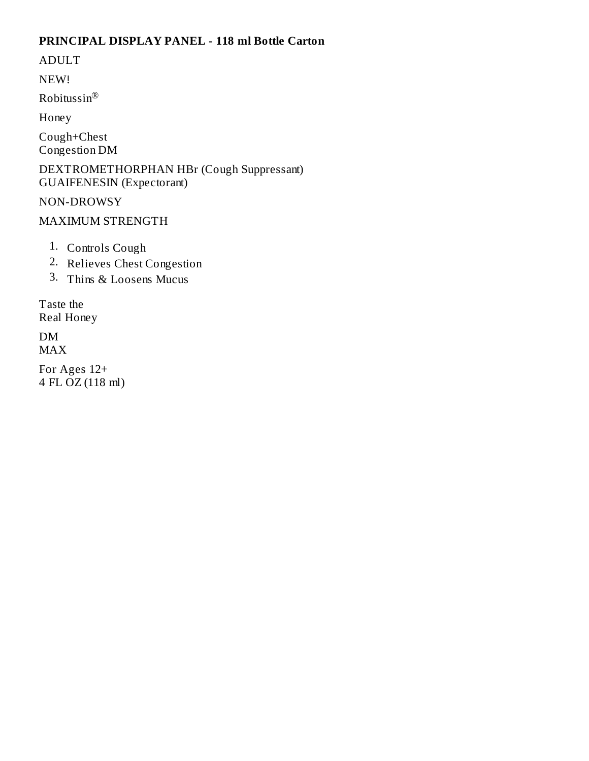# PRINCIPAL DISPLAY PANEL - 118 ml Bottle Carton

**ADULT** 

NEW!

Robitussin®

Honey

Cough+Chest Congestion DM

DEXTROMETHORPHAN HBr (Cough Suppressant) **GUAIFENESIN** (Expectorant)

NON-DROWSY

# MAXIMUM STRENGTH

- 1. Controls Cough
- 2. Relieves Chest Congestion
- 3. Thins & Loosens Mucus

Taste the Real Honey

DM **MAX** 

For Ages 12+ 4 FL OZ (118 ml)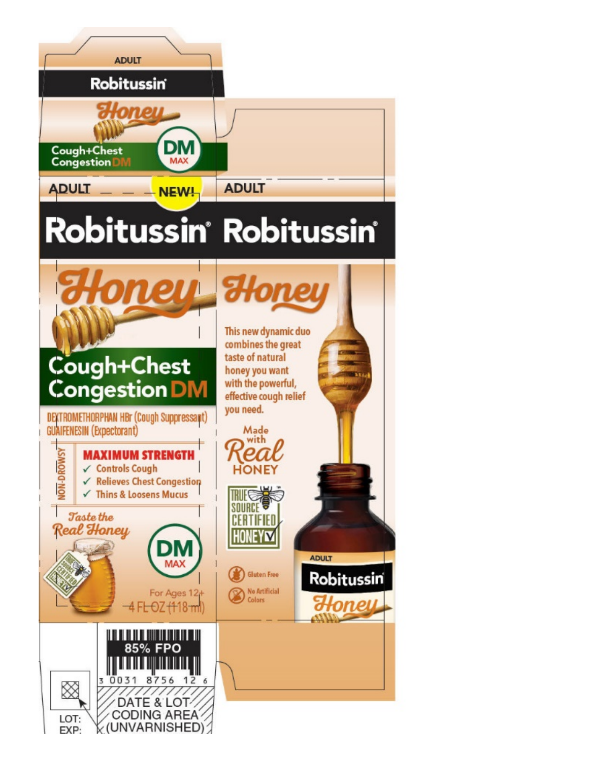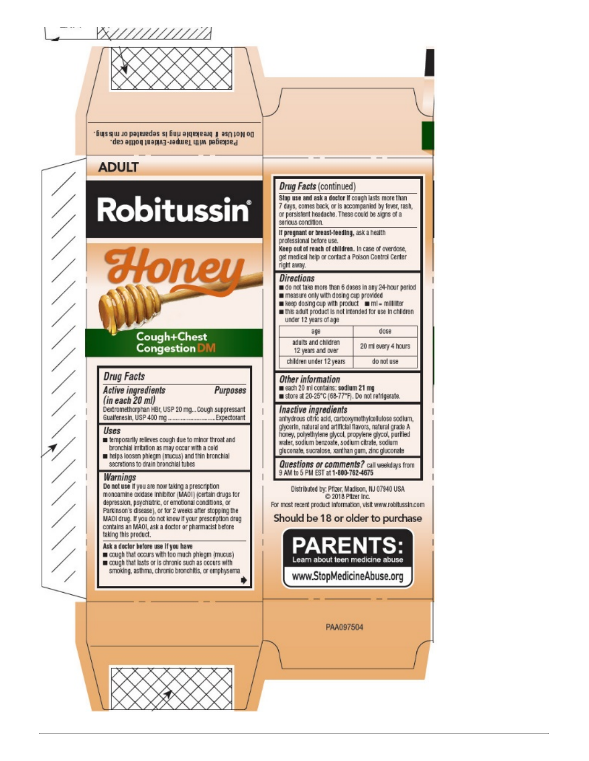



Do Not Use if breakable ring is separated or missing. Packaged with Tamper-Evident bottle cap.

# **ADULT**

# Robitussin®

# Cough+Chest **Congestion DM**

## **Drug Facts**

**Active ingredients** Purposes  $(in each 20 ml)$ 

Dextromethorphan HBr, USP 20 mg... Cough suppressant Gualfenesin, USP 400 mg ... ..Expectorant . . . . . . . . . . .

#### Uses

m temporarily relieves cough due to minor throat and bronchial irritation as may occur with a cold helps loosen phiegm (mucus) and thin bronchial secretions to drain bronchial tubes

#### **Warnings**

Do not use if you are now taking a prescription monoamine oxidase inhibitor (MAOI) (certain drugs for depression, psychiatric, or emotional conditions, or Parkinson's disease), or for 2 weeks after stopping the MAOI drug. If you do not know if your prescription drug contains an MAOI, ask a doctor or pharmacist before taking this product.

## Ask a doctor before use if you have

cough that occurs with too much phiegm (mucus) cough that lasts or is chronic such as occurs with smoking, asthma, chronic bronchitis, or emphysema.

Ď

## **Drug Facts (continued)**

Stop use and ask a doctor if cough lasts more than 7 days, comes back, or is accompanied by fever, rash, or persistent headache. These could be signs of a serious condition.

If pregnant or breast-feeding, ask a health professional before use.

Keep out of reach of children. In case of overdose, get medical help or contact a Poison Control Center right away.

## **Directions**

o do not take more than 6 doses in any 24-hour period measure only with dosing cup provided

in keep dosing cup with product in mi = milliliter this adult product is not intended for use in children

| under 12 years of age                    |                     |  |  |  |
|------------------------------------------|---------------------|--|--|--|
| age                                      | $d$ 0se             |  |  |  |
| adults and children<br>12 years and over | 20 ml every 4 hours |  |  |  |

| co un every 4 nome |  |  |
|--------------------|--|--|
| do not use         |  |  |
|                    |  |  |

## Other information

each 20 ml contains: sodium 21 mg store at 20-25°C (68-77°F). Do not refrigerate.

#### Inactive ingredients

anhydrous citric acid, carboxymethylcellulose sodium, glycerin, natural and artificial flavors, natural grade A honey, polyethylene glycol, propylene glycol, purified water, sodium benzoate, sodium citrate, sodium gluconate, sucralose, xanthan gum, zinc gluconate

Questions or comments? call weekdays from<br>9 AM to 5 PM EST at 1-800-762-4675

Distributed by: Pfizer, Madison, NJ 07940 USA 2018 Pfizer Inc. For most recent product information, visit www.robitussin.com

Should be 18 or older to purchase



PAA097504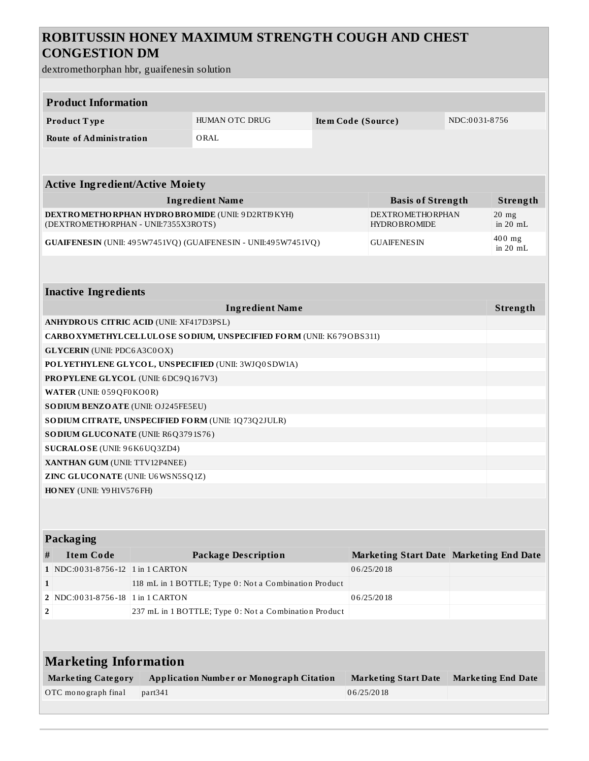# **ROBITUSSIN HONEY MAXIMUM STRENGTH COUGH AND CHEST CONGESTION DM**

dextromethorphan hbr, guaifenesin solution

| <b>Product Information</b>                                                               |                                                 |         |                                                                      |            |                                                |                        |                           |  |  |  |  |
|------------------------------------------------------------------------------------------|-------------------------------------------------|---------|----------------------------------------------------------------------|------------|------------------------------------------------|------------------------|---------------------------|--|--|--|--|
|                                                                                          | Product Type                                    |         | <b>HUMAN OTC DRUG</b>                                                |            | Item Code (Source)                             |                        | NDC:0031-8756             |  |  |  |  |
|                                                                                          | <b>Route of Administration</b>                  |         | ORAL                                                                 |            |                                                |                        |                           |  |  |  |  |
|                                                                                          |                                                 |         |                                                                      |            |                                                |                        |                           |  |  |  |  |
|                                                                                          |                                                 |         |                                                                      |            |                                                |                        |                           |  |  |  |  |
| <b>Active Ingredient/Active Moiety</b>                                                   |                                                 |         |                                                                      |            |                                                |                        |                           |  |  |  |  |
|                                                                                          |                                                 |         | <b>Ingredient Name</b>                                               |            | <b>Basis of Strength</b>                       |                        | Strength                  |  |  |  |  |
| DEXTROMETHORPHAN HYDROBROMIDE (UNII: 9D2RTI9KYH)<br>(DEXTROMETHORPHAN - UNII:7355X3ROTS) |                                                 |         |                                                                      |            | <b>DEXTROMETHORPHAN</b><br><b>HYDROBROMIDE</b> |                        | $20$ mg<br>in $20$ mL     |  |  |  |  |
| GUAIFENESIN (UNII: 495W7451VQ) (GUAIFENESIN - UNII:495W7451VQ)                           |                                                 |         |                                                                      |            | <b>GUAIFENESIN</b>                             | $400$ mg<br>in $20$ mL |                           |  |  |  |  |
|                                                                                          |                                                 |         |                                                                      |            |                                                |                        |                           |  |  |  |  |
|                                                                                          | <b>Inactive Ingredients</b>                     |         |                                                                      |            |                                                |                        |                           |  |  |  |  |
|                                                                                          |                                                 |         | <b>Ingredient Name</b>                                               |            |                                                |                        | Strength                  |  |  |  |  |
|                                                                                          | <b>ANHYDROUS CITRIC ACID (UNII: XF417D3PSL)</b> |         |                                                                      |            |                                                |                        |                           |  |  |  |  |
|                                                                                          |                                                 |         | CARBO XYMETHYL CELLULOSE SODIUM, UNSPECIFIED FORM (UNII: K679OBS311) |            |                                                |                        |                           |  |  |  |  |
|                                                                                          | <b>GLYCERIN</b> (UNII: PDC6A3C0OX)              |         |                                                                      |            |                                                |                        |                           |  |  |  |  |
|                                                                                          |                                                 |         | POLYETHYLENE GLYCOL, UNSPECIFIED (UNII: 3WJQ0SDW1A)                  |            |                                                |                        |                           |  |  |  |  |
|                                                                                          | <b>PROPYLENE GLYCOL</b> (UNII: 6DC9Q167V3)      |         |                                                                      |            |                                                |                        |                           |  |  |  |  |
|                                                                                          | WATER (UNII: 059 QF0 KO0 R)                     |         |                                                                      |            |                                                |                        |                           |  |  |  |  |
|                                                                                          | <b>SODIUM BENZOATE (UNII: OJ245FE5EU)</b>       |         |                                                                      |            |                                                |                        |                           |  |  |  |  |
|                                                                                          |                                                 |         | SO DIUM CITRATE, UNSPECIFIED FORM (UNII: 1Q73Q2JULR)                 |            |                                                |                        |                           |  |  |  |  |
|                                                                                          | <b>SODIUM GLUCONATE</b> (UNII: R6Q3791S76)      |         |                                                                      |            |                                                |                        |                           |  |  |  |  |
|                                                                                          | SUCRALOSE (UNII: 96K6UQ3ZD4)                    |         |                                                                      |            |                                                |                        |                           |  |  |  |  |
|                                                                                          | XANTHAN GUM (UNII: TTV12P4NEE)                  |         |                                                                      |            |                                                |                        |                           |  |  |  |  |
|                                                                                          | ZINC GLUCONATE (UNII: U6WSN5SQ1Z)               |         |                                                                      |            |                                                |                        |                           |  |  |  |  |
| HONEY (UNII: Y9 H1V576 FH)                                                               |                                                 |         |                                                                      |            |                                                |                        |                           |  |  |  |  |
|                                                                                          |                                                 |         |                                                                      |            |                                                |                        |                           |  |  |  |  |
|                                                                                          |                                                 |         |                                                                      |            |                                                |                        |                           |  |  |  |  |
|                                                                                          | Packaging                                       |         |                                                                      |            |                                                |                        |                           |  |  |  |  |
| #                                                                                        | <b>Item Code</b>                                |         | <b>Package Description</b>                                           |            | Marketing Start Date Marketing End Date        |                        |                           |  |  |  |  |
|                                                                                          | 1   NDC:0031-8756-12   1 in 1 CARTON            |         |                                                                      |            | 06/25/2018                                     |                        |                           |  |  |  |  |
| $\mathbf{1}$                                                                             |                                                 |         | 118 mL in 1 BOTTLE; Type 0: Not a Combination Product                |            |                                                |                        |                           |  |  |  |  |
|                                                                                          | 2 NDC:0031-8756-18 1 in 1 CARTON                |         |                                                                      |            | 06/25/2018                                     |                        |                           |  |  |  |  |
|                                                                                          |                                                 |         | 237 mL in 1 BOTTLE; Type 0: Not a Combination Product                |            |                                                |                        |                           |  |  |  |  |
| 2                                                                                        |                                                 |         |                                                                      |            |                                                |                        |                           |  |  |  |  |
|                                                                                          |                                                 |         |                                                                      |            |                                                |                        |                           |  |  |  |  |
| <b>Marketing Information</b>                                                             |                                                 |         |                                                                      |            |                                                |                        |                           |  |  |  |  |
|                                                                                          | <b>Marketing Category</b>                       |         | <b>Application Number or Monograph Citation</b>                      |            | <b>Marketing Start Date</b>                    |                        | <b>Marketing End Date</b> |  |  |  |  |
|                                                                                          | OTC monograph final                             | part341 |                                                                      | 06/25/2018 |                                                |                        |                           |  |  |  |  |
|                                                                                          |                                                 |         |                                                                      |            |                                                |                        |                           |  |  |  |  |
|                                                                                          |                                                 |         |                                                                      |            |                                                |                        |                           |  |  |  |  |